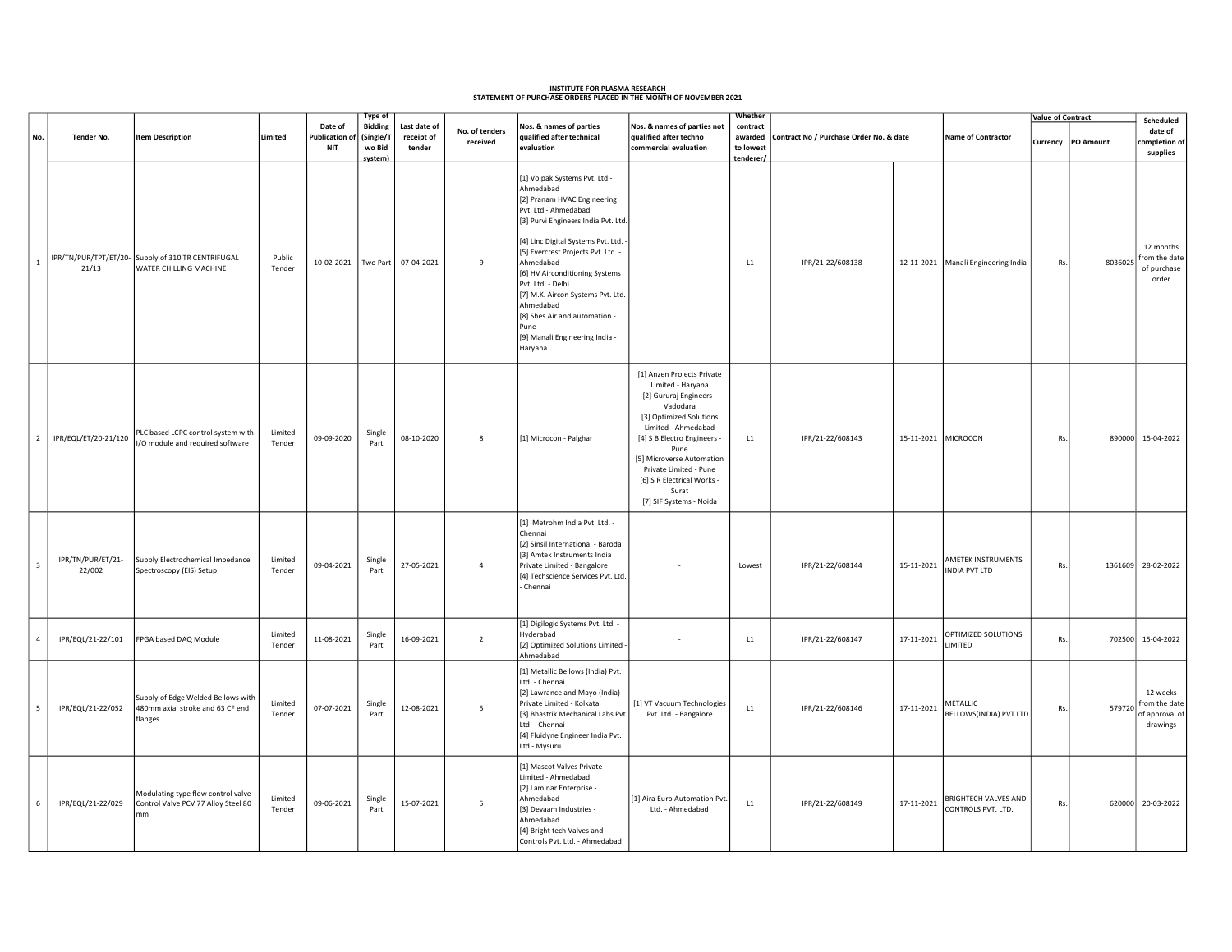## <u>INSTITUTE FOR PLASMA RESEARCH</u><br>STATEMENT OF PURCHASE ORDERS PLACED IN THE MONTH OF NOVEMBER 2021

|                         |                             |                                                                                   |                   |                                        | Type of                                          |                                      |                            |                                                                                                                                                                                                                                                                                                                                                                                                                       | Whether                                                                                                                                                                                                                                                                                                  |                                               |                                         |                     |                                            | <b>Value of Contract</b> |                    | Scheduled                                               |
|-------------------------|-----------------------------|-----------------------------------------------------------------------------------|-------------------|----------------------------------------|--------------------------------------------------|--------------------------------------|----------------------------|-----------------------------------------------------------------------------------------------------------------------------------------------------------------------------------------------------------------------------------------------------------------------------------------------------------------------------------------------------------------------------------------------------------------------|----------------------------------------------------------------------------------------------------------------------------------------------------------------------------------------------------------------------------------------------------------------------------------------------------------|-----------------------------------------------|-----------------------------------------|---------------------|--------------------------------------------|--------------------------|--------------------|---------------------------------------------------------|
| No.                     | Tender No.                  | <b>Item Description</b>                                                           | Limited           | Date of<br>Publication o<br><b>NIT</b> | <b>Bidding</b><br>(Single/1<br>wo Bid<br>system) | Last date of<br>receipt of<br>tender | No. of tenders<br>received | Nos. & names of parties<br>qualified after technical<br>evaluation                                                                                                                                                                                                                                                                                                                                                    | Nos. & names of parties not<br>qualified after techno<br>commercial evaluation                                                                                                                                                                                                                           | contract<br>awarded<br>to lowest<br>tenderer/ | Contract No / Purchase Order No. & date |                     | <b>Name of Contractor</b>                  |                          | Currency PO Amount | date of<br>completion of<br>supplies                    |
| $\mathbf{1}$            | 21/13                       | IPR/TN/PUR/TPT/ET/20-Supply of 310 TR CENTRIFUGAL<br>WATER CHILLING MACHINE       | Public<br>Tender  | 10-02-2021                             |                                                  | Two Part 07-04-2021                  | 9                          | [1] Volpak Systems Pvt. Ltd -<br>Ahmedabad<br>[2] Pranam HVAC Engineering<br>Pvt. Ltd - Ahmedabad<br>[3] Purvi Engineers India Pvt. Ltd.<br>[4] Linc Digital Systems Pvt. Ltd.<br>[5] Evercrest Projects Pvt. Ltd. -<br>Ahmedabad<br>[6] HV Airconditioning Systems<br>Pvt. Ltd. - Delhi<br>[7] M.K. Aircon Systems Pvt. Ltd.<br>Ahmedabad<br>[8] Shes Air and automation -<br>Pune<br>[9] Manali Engineering India - |                                                                                                                                                                                                                                                                                                          | L1                                            | IPR/21-22/608138                        |                     | 12-11-2021   Manali Engineering India      | <b>Rs</b>                | 8036025            | 12 months<br>from the date<br>of purchase<br>order      |
|                         |                             |                                                                                   |                   |                                        |                                                  |                                      |                            | Haryana                                                                                                                                                                                                                                                                                                                                                                                                               |                                                                                                                                                                                                                                                                                                          |                                               |                                         |                     |                                            |                          |                    |                                                         |
| $\overline{2}$          | IPR/EQL/ET/20-21/120        | PLC based LCPC control system with<br>I/O module and required software            | Limited<br>Tender | 09-09-2020                             | Single<br>Part                                   | 08-10-2020                           | 8                          | [1] Microcon - Palghar                                                                                                                                                                                                                                                                                                                                                                                                | [1] Anzen Projects Private<br>Limited - Haryana<br>[2] Gururaj Engineers -<br>Vadodara<br>[3] Optimized Solutions<br>Limited - Ahmedabad<br>[4] S B Electro Engineers -<br>Pune<br>[5] Microverse Automation<br>Private Limited - Pune<br>[6] S R Electrical Works -<br>Surat<br>[7] SIF Systems - Noida | L1                                            | IPR/21-22/608143                        | 15-11-2021 MICROCON |                                            | Rs.                      | 890000             | 15-04-2022                                              |
| $\overline{\mathbf{3}}$ | IPR/TN/PUR/ET/21-<br>22/002 | Supply Electrochemical Impedance<br>Spectroscopy (EIS) Setup                      | Limited<br>Tender | 09-04-2021                             | Single<br>Part                                   | 27-05-2021                           | $\overline{4}$             | [1] Metrohm India Pvt. Ltd. -<br>Chennai<br>[2] Sinsil International - Baroda<br>[3] Amtek Instruments India<br>Private Limited - Bangalore<br>[4] Techscience Services Pvt. Ltd.<br>- Chennai                                                                                                                                                                                                                        |                                                                                                                                                                                                                                                                                                          | Lowest                                        | IPR/21-22/608144                        | 15-11-2021          | AMETEK INSTRUMENTS<br>INDIA PVT LTD        | Rs.                      |                    | 1361609 28-02-2022                                      |
| $\overline{4}$          | IPR/EQL/21-22/101           | FPGA based DAQ Module                                                             | Limited<br>Tender | 11-08-2021                             | Single<br>Part                                   | 16-09-2021                           | $\overline{2}$             | [1] Digilogic Systems Pvt. Ltd.<br>Hyderabad<br>[2] Optimized Solutions Limited<br>Ahmedabad                                                                                                                                                                                                                                                                                                                          |                                                                                                                                                                                                                                                                                                          | L1                                            | IPR/21-22/608147                        | 17-11-2021          | OPTIMIZED SOLUTIONS<br>LIMITED             | Rs.                      | 702500             | 15-04-2022                                              |
| 5                       | IPR/EQL/21-22/052           | Supply of Edge Welded Bellows with<br>480mm axial stroke and 63 CF end<br>flanges | Limited<br>Tender | 07-07-2021                             | Single<br>Part                                   | 12-08-2021                           | 5                          | [1] Metallic Bellows (India) Pvt.<br>Ltd. - Chennai<br>[2] Lawrance and Mayo (India)<br>Private Limited - Kolkata<br>[3] Bhastrik Mechanical Labs Pvt.<br>Ltd. - Chennai<br>[4] Fluidyne Engineer India Pvt.<br>Ltd - Mysuru                                                                                                                                                                                          | [1] VT Vacuum Technologies<br>Pvt. Ltd. - Bangalore                                                                                                                                                                                                                                                      | L1                                            | IPR/21-22/608146                        | 17-11-2021          | METALLIC<br>BELLOWS(INDIA) PVT LTD         | Rs.                      | 579720             | 12 weeks<br>from the date<br>of approval of<br>drawings |
| 6                       | IPR/EQL/21-22/029           | Modulating type flow control valve<br>Control Valve PCV 77 Alloy Steel 80<br>mm   | Limited<br>Tender | 09-06-2021                             | Single<br>Part                                   | 15-07-2021                           | 5                          | [1] Mascot Valves Private<br>Limited - Ahmedabad<br>[2] Laminar Enterprise -<br>Ahmedabad<br>[3] Devaam Industries -<br>Ahmedabad<br>[4] Bright tech Valves and<br>Controls Pvt. Ltd. - Ahmedabad                                                                                                                                                                                                                     | [1] Aira Euro Automation Pvt.<br>Ltd. - Ahmedabad                                                                                                                                                                                                                                                        | L1                                            | IPR/21-22/608149                        | 17-11-2021          | BRIGHTECH VALVES AND<br>CONTROLS PVT. LTD. | Rs.                      |                    | 620000 20-03-2022                                       |